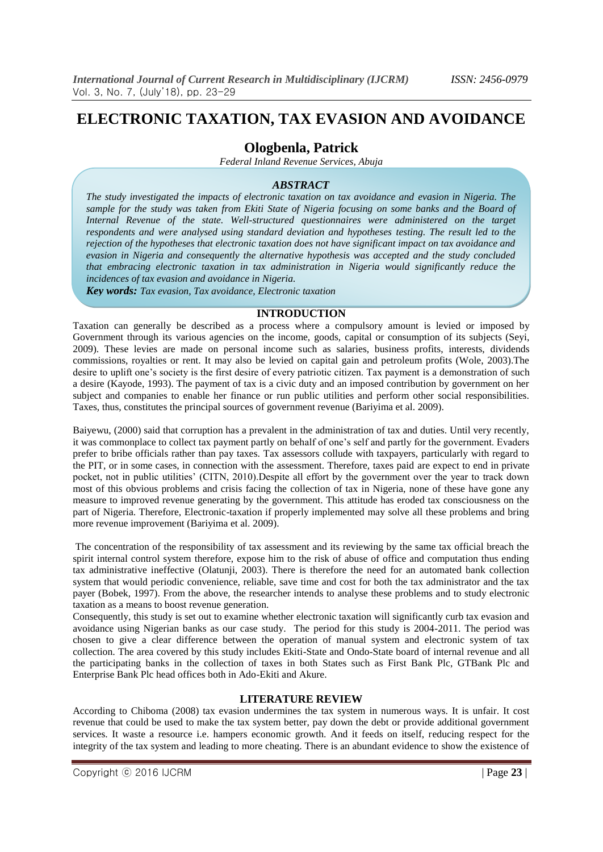# **ELECTRONIC TAXATION, TAX EVASION AND AVOIDANCE**

# **Ologbenla, Patrick**

*Federal Inland Revenue Services, Abuja*

# *ABSTRACT*

*The study investigated the impacts of electronic taxation on tax avoidance and evasion in Nigeria. The sample for the study was taken from Ekiti State of Nigeria focusing on some banks and the Board of Internal Revenue of the state. Well-structured questionnaires were administered on the target respondents and were analysed using standard deviation and hypotheses testing. The result led to the rejection of the hypotheses that electronic taxation does not have significant impact on tax avoidance and evasion in Nigeria and consequently the alternative hypothesis was accepted and the study concluded that embracing electronic taxation in tax administration in Nigeria would significantly reduce the incidences of tax evasion and avoidance in Nigeria.*

*Key words: Tax evasion, Tax avoidance, Electronic taxation*

### **INTRODUCTION**

Taxation can generally be described as a process where a compulsory amount is levied or imposed by Government through its various agencies on the income, goods, capital or consumption of its subjects (Seyi, 2009). These levies are made on personal income such as salaries, business profits, interests, dividends commissions, royalties or rent. It may also be levied on capital gain and petroleum profits (Wole, 2003).The desire to uplift one's society is the first desire of every patriotic citizen. Tax payment is a demonstration of such a desire (Kayode, 1993). The payment of tax is a civic duty and an imposed contribution by government on her subject and companies to enable her finance or run public utilities and perform other social responsibilities. Taxes, thus, constitutes the principal sources of government revenue (Bariyima et al. 2009).

Baiyewu, (2000) said that corruption has a prevalent in the administration of tax and duties. Until very recently, it was commonplace to collect tax payment partly on behalf of one's self and partly for the government. Evaders prefer to bribe officials rather than pay taxes. Tax assessors collude with taxpayers, particularly with regard to the PIT, or in some cases, in connection with the assessment. Therefore, taxes paid are expect to end in private pocket, not in public utilities' (CITN, 2010).Despite all effort by the government over the year to track down most of this obvious problems and crisis facing the collection of tax in Nigeria, none of these have gone any measure to improved revenue generating by the government. This attitude has eroded tax consciousness on the part of Nigeria. Therefore, Electronic-taxation if properly implemented may solve all these problems and bring more revenue improvement (Bariyima et al. 2009).

The concentration of the responsibility of tax assessment and its reviewing by the same tax official breach the spirit internal control system therefore, expose him to the risk of abuse of office and computation thus ending tax administrative ineffective (Olatunji, 2003). There is therefore the need for an automated bank collection system that would periodic convenience, reliable, save time and cost for both the tax administrator and the tax payer (Bobek, 1997). From the above, the researcher intends to analyse these problems and to study electronic taxation as a means to boost revenue generation.

Consequently, this study is set out to examine whether electronic taxation will significantly curb tax evasion and avoidance using Nigerian banks as our case study. The period for this study is 2004-2011. The period was chosen to give a clear difference between the operation of manual system and electronic system of tax collection. The area covered by this study includes Ekiti-State and Ondo-State board of internal revenue and all the participating banks in the collection of taxes in both States such as First Bank Plc, GTBank Plc and Enterprise Bank Plc head offices both in Ado-Ekiti and Akure.

# **LITERATURE REVIEW**

According to Chiboma (2008) tax evasion undermines the tax system in numerous ways. It is unfair. It cost revenue that could be used to make the tax system better, pay down the debt or provide additional government services. It waste a resource i.e. hampers economic growth. And it feeds on itself, reducing respect for the integrity of the tax system and leading to more cheating. There is an abundant evidence to show the existence of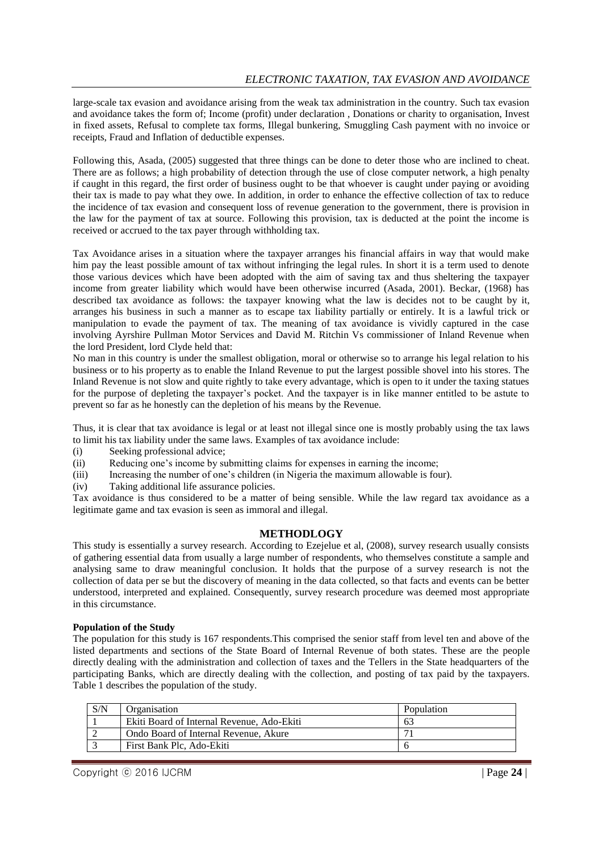large-scale tax evasion and avoidance arising from the weak tax administration in the country. Such tax evasion and avoidance takes the form of; Income (profit) under declaration , Donations or charity to organisation, Invest in fixed assets, Refusal to complete tax forms, Illegal bunkering, Smuggling Cash payment with no invoice or receipts, Fraud and Inflation of deductible expenses.

Following this, Asada, (2005) suggested that three things can be done to deter those who are inclined to cheat. There are as follows; a high probability of detection through the use of close computer network, a high penalty if caught in this regard, the first order of business ought to be that whoever is caught under paying or avoiding their tax is made to pay what they owe. In addition, in order to enhance the effective collection of tax to reduce the incidence of tax evasion and consequent loss of revenue generation to the government, there is provision in the law for the payment of tax at source. Following this provision, tax is deducted at the point the income is received or accrued to the tax payer through withholding tax.

Tax Avoidance arises in a situation where the taxpayer arranges his financial affairs in way that would make him pay the least possible amount of tax without infringing the legal rules. In short it is a term used to denote those various devices which have been adopted with the aim of saving tax and thus sheltering the taxpayer income from greater liability which would have been otherwise incurred (Asada, 2001). Beckar, (1968) has described tax avoidance as follows: the taxpayer knowing what the law is decides not to be caught by it, arranges his business in such a manner as to escape tax liability partially or entirely. It is a lawful trick or manipulation to evade the payment of tax. The meaning of tax avoidance is vividly captured in the case involving Ayrshire Pullman Motor Services and David M. Ritchin Vs commissioner of Inland Revenue when the lord President, lord Clyde held that:

No man in this country is under the smallest obligation, moral or otherwise so to arrange his legal relation to his business or to his property as to enable the Inland Revenue to put the largest possible shovel into his stores. The Inland Revenue is not slow and quite rightly to take every advantage, which is open to it under the taxing statues for the purpose of depleting the taxpayer's pocket. And the taxpayer is in like manner entitled to be astute to prevent so far as he honestly can the depletion of his means by the Revenue.

Thus, it is clear that tax avoidance is legal or at least not illegal since one is mostly probably using the tax laws to limit his tax liability under the same laws. Examples of tax avoidance include:

- (i) Seeking professional advice;
- (ii) Reducing one's income by submitting claims for expenses in earning the income;
- (iii) Increasing the number of one's children (in Nigeria the maximum allowable is four).<br>
(iv) Taking additional life assurance policies.
- Taking additional life assurance policies.

Tax avoidance is thus considered to be a matter of being sensible. While the law regard tax avoidance as a legitimate game and tax evasion is seen as immoral and illegal.

#### **METHODLOGY**

This study is essentially a survey research. According to Ezejelue et al, (2008), survey research usually consists of gathering essential data from usually a large number of respondents, who themselves constitute a sample and analysing same to draw meaningful conclusion. It holds that the purpose of a survey research is not the collection of data per se but the discovery of meaning in the data collected, so that facts and events can be better understood, interpreted and explained. Consequently, survey research procedure was deemed most appropriate in this circumstance.

#### **Population of the Study**

The population for this study is 167 respondents.This comprised the senior staff from level ten and above of the listed departments and sections of the State Board of Internal Revenue of both states. These are the people directly dealing with the administration and collection of taxes and the Tellers in the State headquarters of the participating Banks, which are directly dealing with the collection, and posting of tax paid by the taxpayers. Table 1 describes the population of the study.

| S/N | Organisation                               | Population |
|-----|--------------------------------------------|------------|
|     | Ekiti Board of Internal Revenue, Ado-Ekiti | 63         |
|     | Ondo Board of Internal Revenue, Akure      |            |
|     | First Bank Plc. Ado-Ekiti                  |            |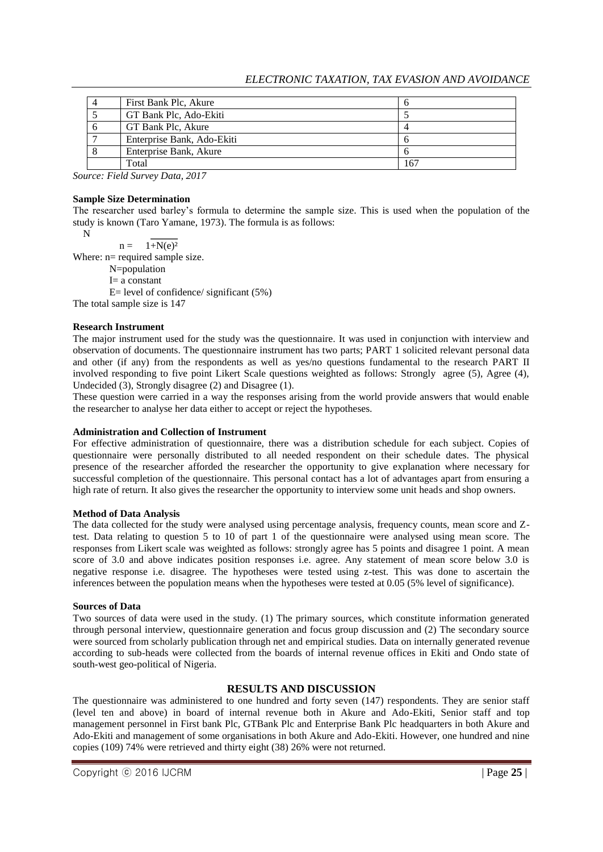| First Bank Plc, Akure      |     |
|----------------------------|-----|
| GT Bank Plc, Ado-Ekiti     |     |
| GT Bank Plc, Akure         |     |
| Enterprise Bank, Ado-Ekiti |     |
| Enterprise Bank, Akure     |     |
| Total                      | 167 |

*Source: Field Survey Data, 2017*

#### **Sample Size Determination**

The researcher used barley's formula to determine the sample size. This is used when the population of the study is known (Taro Yamane, 1973). The formula is as follows:

N

 $n = 1 + N(e)^2$ 

Where:  $n=$  required sample size.

N=population

I= a constant

 $E=$  level of confidence/ significant (5%)

The total sample size is 147

### **Research Instrument**

The major instrument used for the study was the questionnaire. It was used in conjunction with interview and observation of documents. The questionnaire instrument has two parts; PART 1 solicited relevant personal data and other (if any) from the respondents as well as yes/no questions fundamental to the research PART II involved responding to five point Likert Scale questions weighted as follows: Strongly agree (5), Agree (4), Undecided (3), Strongly disagree (2) and Disagree (1).

These question were carried in a way the responses arising from the world provide answers that would enable the researcher to analyse her data either to accept or reject the hypotheses.

## **Administration and Collection of Instrument**

For effective administration of questionnaire, there was a distribution schedule for each subject. Copies of questionnaire were personally distributed to all needed respondent on their schedule dates. The physical presence of the researcher afforded the researcher the opportunity to give explanation where necessary for successful completion of the questionnaire. This personal contact has a lot of advantages apart from ensuring a high rate of return. It also gives the researcher the opportunity to interview some unit heads and shop owners.

#### **Method of Data Analysis**

The data collected for the study were analysed using percentage analysis, frequency counts, mean score and Ztest. Data relating to question 5 to 10 of part 1 of the questionnaire were analysed using mean score. The responses from Likert scale was weighted as follows: strongly agree has 5 points and disagree 1 point. A mean score of 3.0 and above indicates position responses i.e. agree. Any statement of mean score below 3.0 is negative response i.e. disagree. The hypotheses were tested using z-test. This was done to ascertain the inferences between the population means when the hypotheses were tested at 0.05 (5% level of significance).

#### **Sources of Data**

Two sources of data were used in the study. (1) The primary sources, which constitute information generated through personal interview, questionnaire generation and focus group discussion and (2) The secondary source were sourced from scholarly publication through net and empirical studies. Data on internally generated revenue according to sub-heads were collected from the boards of internal revenue offices in Ekiti and Ondo state of south-west geo-political of Nigeria.

# **RESULTS AND DISCUSSION**

The questionnaire was administered to one hundred and forty seven (147) respondents. They are senior staff (level ten and above) in board of internal revenue both in Akure and Ado-Ekiti, Senior staff and top management personnel in First bank Plc, GTBank Plc and Enterprise Bank Plc headquarters in both Akure and Ado-Ekiti and management of some organisations in both Akure and Ado-Ekiti. However, one hundred and nine copies (109) 74% were retrieved and thirty eight (38) 26% were not returned.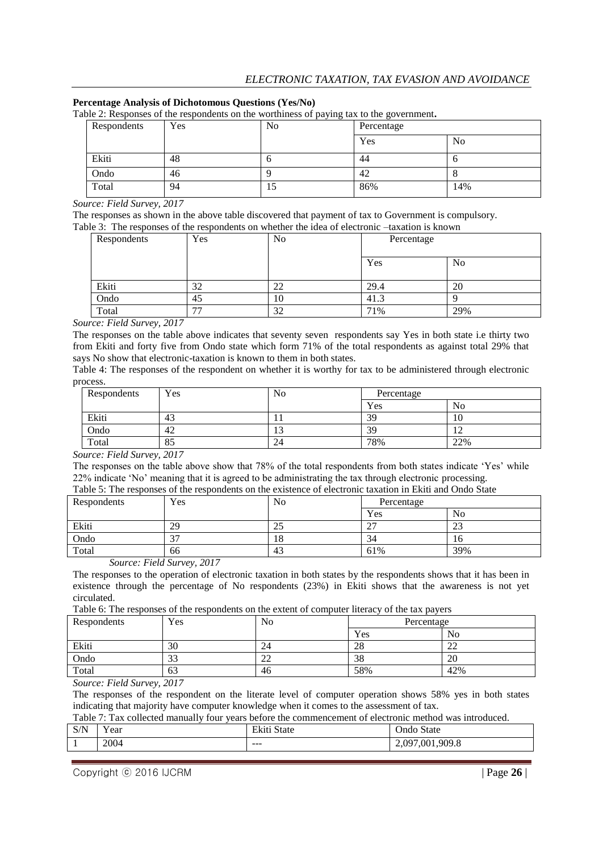# **Percentage Analysis of Dichotomous Questions (Yes/No)**

Table 2: Responses of the respondents on the worthiness of paying tax to the government**.**

| Respondents | Yes | ັ<br>No | Percentage |     |
|-------------|-----|---------|------------|-----|
|             |     |         | Yes        | No  |
| Ekiti       | 48  | υ       | 44         |     |
| Ondo        | 46  |         | 42         |     |
| Total       | 94  | 10      | 86%        | 14% |

*Source: Field Survey, 2017*

The responses as shown in the above table discovered that payment of tax to Government is compulsory. Table 3: The responses of the respondents on whether the idea of electronic –taxation is known

| Respondents | Yes   | No | Percentage |     |
|-------------|-------|----|------------|-----|
|             |       |    | Yes        | No  |
| Ekiti       | 32    | 22 | 29.4       | 20  |
| Ondo        | 45    | 10 | 41.3       |     |
| Total       | $- -$ | 32 | 71%        | 29% |

*Source: Field Survey, 2017*

The responses on the table above indicates that seventy seven respondents say Yes in both state i.e thirty two from Ekiti and forty five from Ondo state which form 71% of the total respondents as against total 29% that says No show that electronic-taxation is known to them in both states.

Table 4: The responses of the respondent on whether it is worthy for tax to be administered through electronic process.

| Respondents | Yes | No               | Percentage |     |
|-------------|-----|------------------|------------|-----|
|             |     |                  | Yes        | No  |
| Ekiti       | 43  | . .              | 39         | 10  |
| Ondo        | 42  | $\sqrt{2}$<br>IJ | 39         | ┸   |
| Total       | 85  | 24               | 78%        | 22% |

*Source: Field Survey, 2017*

The responses on the table above show that 78% of the total respondents from both states indicate 'Yes' while 22% indicate 'No' meaning that it is agreed to be administrating the tax through electronic processing.

| Table 5: The responses of the respondents on the existence of electronic taxation in Ekiti and Ondo State |            |                |            |     |  |  |
|-----------------------------------------------------------------------------------------------------------|------------|----------------|------------|-----|--|--|
| Respondents                                                                                               | <b>Yes</b> | N <sub>0</sub> | Percentage |     |  |  |
|                                                                                                           |            |                | Yes        | No  |  |  |
| Ekiti                                                                                                     | 29         |                |            |     |  |  |
| Ondo                                                                                                      |            |                | 34         | 16  |  |  |
| Total                                                                                                     | 66         | 43             | 61%        | 39% |  |  |

*Source: Field Survey, 2017*

The responses to the operation of electronic taxation in both states by the respondents shows that it has been in existence through the percentage of No respondents (23%) in Ekiti shows that the awareness is not yet circulated.

Table 6: The responses of the respondents on the extent of computer literacy of the tax payers

| Respondents | Yes            | No          |     | Percentage   |
|-------------|----------------|-------------|-----|--------------|
|             |                |             | Yes | No           |
| Ekiti       | 30             | 24          | 28  | $\sim$<br>∠∠ |
| Ondo        | $\Omega$<br>33 | $\sim$<br>∸ | 38  | 20           |
| Total       | 63             | 46          | 58% | 42%          |

*Source: Field Survey, 2017*

The responses of the respondent on the literate level of computer operation shows 58% yes in both states indicating that majority have computer knowledge when it comes to the assessment of tax.

Table 7: Tax collected manually four years before the commencement of electronic method was introduced.

| $C/N^{\tau}$<br>5/15 | $ -$<br>Y ear | T1<br>State<br>LΝ | State<br>$\mathbf{m}$<br>JNU -    |
|----------------------|---------------|-------------------|-----------------------------------|
|                      | 2004          | $- - -$           | .909.8<br>7.001.<br>097<br>$\sim$ |
|                      |               |                   |                                   |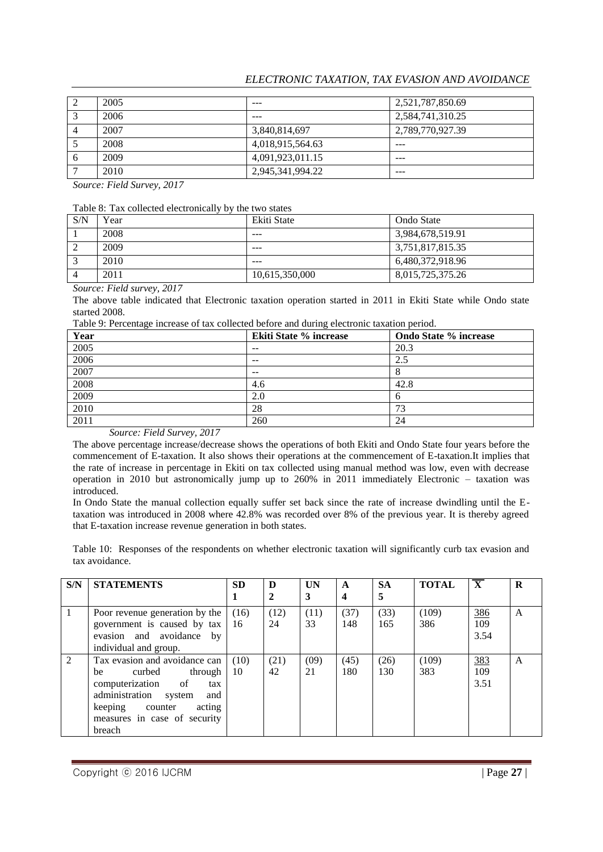# *ELECTRONIC TAXATION, TAX EVASION AND AVOIDANCE*

|                | 2005 | ---              | 2,521,787,850.69 |
|----------------|------|------------------|------------------|
| 2              | 2006 | ---              | 2,584,741,310.25 |
| $\overline{4}$ | 2007 | 3,840,814,697    | 2,789,770,927.39 |
|                | 2008 | 4,018,915,564.63 | ---              |
| 6              | 2009 | 4,091,923,011.15 | ---              |
|                | 2010 | 2,945,341,994.22 | ---              |

*Source: Field Survey, 2017*

| Table 8: Tax collected electronically by the two states |  |  |  |
|---------------------------------------------------------|--|--|--|
|---------------------------------------------------------|--|--|--|

| S/N | Year | Ekiti State    | Ondo State       |
|-----|------|----------------|------------------|
|     | 2008 | $---$          | 3,984,678,519.91 |
| ∸   | 2009 | ---            | 3,751,817,815.35 |
|     | 2010 | $- - -$        | 6,480,372,918.96 |
|     | 2011 | 10,615,350,000 | 8,015,725,375.26 |

*Source: Field survey, 2017*

The above table indicated that Electronic taxation operation started in 2011 in Ekiti State while Ondo state started 2008.

Table 9: Percentage increase of tax collected before and during electronic taxation period.

| Year | <b>Ekiti State % increase</b> | <b>Ondo State % increase</b> |
|------|-------------------------------|------------------------------|
| 2005 | $- -$                         | 20.3                         |
| 2006 | $- -$                         | 2.5                          |
| 2007 | $- -$                         |                              |
| 2008 | 4.6                           | 42.8                         |
| 2009 | 2.0                           |                              |
| 2010 | 28                            | 73                           |
| 2011 | 260                           | 24                           |

#### *Source: Field Survey, 2017*

The above percentage increase/decrease shows the operations of both Ekiti and Ondo State four years before the commencement of E-taxation. It also shows their operations at the commencement of E-taxation.It implies that the rate of increase in percentage in Ekiti on tax collected using manual method was low, even with decrease operation in 2010 but astronomically jump up to 260% in 2011 immediately Electronic – taxation was introduced.

In Ondo State the manual collection equally suffer set back since the rate of increase dwindling until the Etaxation was introduced in 2008 where 42.8% was recorded over 8% of the previous year. It is thereby agreed that E-taxation increase revenue generation in both states.

Table 10: Responses of the respondents on whether electronic taxation will significantly curb tax evasion and tax avoidance.

| S/N | <b>STATEMENTS</b>                                                                                                                                                                            | <b>SD</b>  | D          | UN         | A                       | <b>SA</b>   | <b>TOTAL</b> | $\overline{\mathbf{X}}$   | R |
|-----|----------------------------------------------------------------------------------------------------------------------------------------------------------------------------------------------|------------|------------|------------|-------------------------|-------------|--------------|---------------------------|---|
|     |                                                                                                                                                                                              |            | 2          | 3          | $\overline{\mathbf{4}}$ | 5           |              |                           |   |
| -1  | Poor revenue generation by the<br>government is caused by tax<br>evasion and avoidance by<br>individual and group.                                                                           | (16)<br>16 | (12)<br>24 | (11)<br>33 | (37)<br>148             | (33)<br>165 | (109)<br>386 | <u>386</u><br>109<br>3.54 | A |
| 2   | Tax evasion and avoidance can<br>curbed<br>through<br>be<br>computerization of<br>tax<br>administration system<br>and<br>keeping counter<br>acting<br>measures in case of security<br>breach | (10)<br>10 | (21)<br>42 | (09)<br>21 | (45)<br>180             | (26)<br>130 | (109)<br>383 | 383<br>109<br>3.51        | A |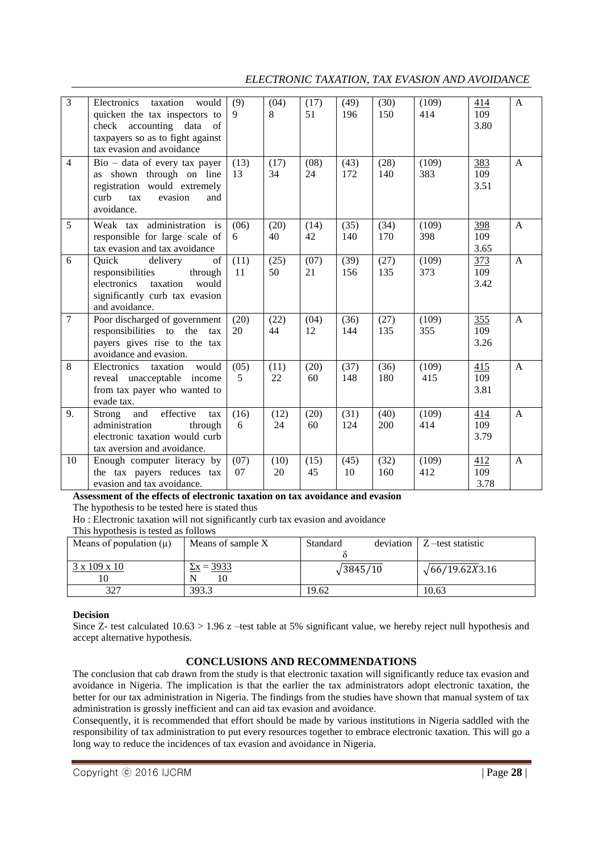# *ELECTRONIC TAXATION, TAX EVASION AND AVOIDANCE*

| $\overline{3}$ | Electronics<br>taxation<br>would<br>quicken the tax inspectors to<br>check accounting data<br><sub>of</sub><br>taxpayers so as to fight against<br>tax evasion and avoidance | (9)<br>9   | (04)<br>8  | (17)<br>51 | (49)<br>196 | (30)<br>150 | (109)<br>414 | 414<br>109<br>3.80 | $\mathsf{A}$ |
|----------------|------------------------------------------------------------------------------------------------------------------------------------------------------------------------------|------------|------------|------------|-------------|-------------|--------------|--------------------|--------------|
| $\overline{4}$ | $\overline{Bio}$ – data of every tax payer<br>as shown through on line<br>registration would extremely<br>evasion<br>curb<br>tax<br>and<br>avoidance.                        | (13)<br>13 | (17)<br>34 | (08)<br>24 | (43)<br>172 | (28)<br>140 | (109)<br>383 | 383<br>109<br>3.51 | $\mathbf{A}$ |
| 5              | Weak tax administration is<br>responsible for large scale of<br>tax evasion and tax avoidance                                                                                | (06)<br>6  | (20)<br>40 | (14)<br>42 | (35)<br>140 | (34)<br>170 | (109)<br>398 | 398<br>109<br>3.65 | $\mathbf{A}$ |
| 6              | Quick<br>of<br>delivery<br>responsibilities<br>through<br>electronics<br>would<br>taxation<br>significantly curb tax evasion<br>and avoidance.                               | (11)<br>11 | (25)<br>50 | (07)<br>21 | (39)<br>156 | (27)<br>135 | (109)<br>373 | 373<br>109<br>3.42 | $\mathsf{A}$ |
| $\overline{7}$ | Poor discharged of government<br>responsibilities to the<br>tax<br>payers gives rise to the tax<br>avoidance and evasion.                                                    | (20)<br>20 | (22)<br>44 | (04)<br>12 | (36)<br>144 | (27)<br>135 | (109)<br>355 | 355<br>109<br>3.26 | $\mathbf{A}$ |
| $\overline{8}$ | would<br>Electronics<br>taxation<br>reveal unacceptable income<br>from tax payer who wanted to<br>evade tax.                                                                 | (05)<br>5  | (11)<br>22 | (20)<br>60 | (37)<br>148 | (36)<br>180 | (109)<br>415 | 415<br>109<br>3.81 | $\mathbf{A}$ |
| 9.             | effective<br>and<br>Strong<br>tax<br>administration<br>through<br>electronic taxation would curb<br>tax aversion and avoidance.                                              | (16)<br>6  | (12)<br>24 | (20)<br>60 | (31)<br>124 | (40)<br>200 | (109)<br>414 | 414<br>109<br>3.79 | $\mathbf{A}$ |
| 10             | Enough computer literacy by<br>the tax payers reduces tax<br>evasion and tax avoidance.                                                                                      | (07)<br>07 | (10)<br>20 | (15)<br>45 | (45)<br>10  | (32)<br>160 | (109)<br>412 | 412<br>109<br>3.78 | $\mathbf{A}$ |

#### **Assessment of the effects of electronic taxation on tax avoidance and evasion** The hypothesis to be tested here is stated thus

Ho : Electronic taxation will not significantly curb tax evasion and avoidance

This hypothesis is tested as follows

| Means of population $(\mu)$ | Means of sample X | Standard         | deviation | Z-test statistic       |
|-----------------------------|-------------------|------------------|-----------|------------------------|
|                             |                   |                  |           |                        |
| 3 x 109 x 10<br>10          | $\Sigma x = 3933$ | $\sqrt{3845/10}$ |           | $\sqrt{66/19.62X3.16}$ |
| 327                         | 393.3             | 19.62            |           | 10.63                  |

# **Decision**

Since Z- test calculated 10.63 > 1.96 z –test table at 5% significant value, we hereby reject null hypothesis and accept alternative hypothesis.

# **CONCLUSIONS AND RECOMMENDATIONS**

The conclusion that cab drawn from the study is that electronic taxation will significantly reduce tax evasion and avoidance in Nigeria. The implication is that the earlier the tax administrators adopt electronic taxation, the better for our tax administration in Nigeria. The findings from the studies have shown that manual system of tax administration is grossly inefficient and can aid tax evasion and avoidance.

Consequently, it is recommended that effort should be made by various institutions in Nigeria saddled with the responsibility of tax administration to put every resources together to embrace electronic taxation. This will go a long way to reduce the incidences of tax evasion and avoidance in Nigeria.